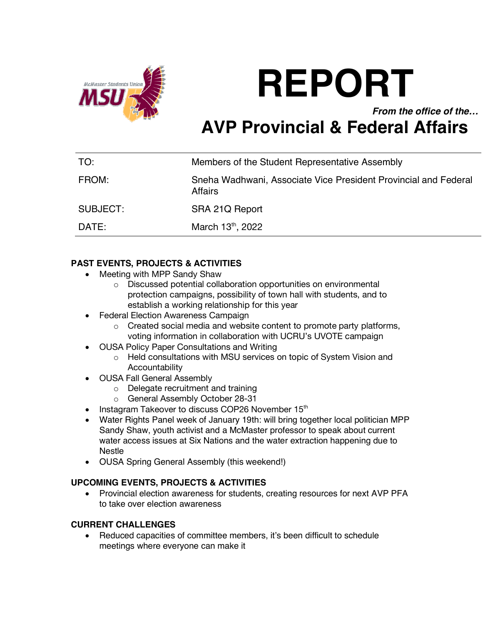

# **REPORT**

*From the office of the…*

# **AVP Provincial & Federal Affairs**

| TO:      | Members of the Student Representative Assembly                                    |
|----------|-----------------------------------------------------------------------------------|
| FROM:    | Sneha Wadhwani, Associate Vice President Provincial and Federal<br><b>Affairs</b> |
| SUBJECT: | SRA 21Q Report                                                                    |
| DATE:    | March 13 <sup>th</sup> , 2022                                                     |

## **PAST EVENTS, PROJECTS & ACTIVITIES**

- Meeting with MPP Sandy Shaw
	- o Discussed potential collaboration opportunities on environmental protection campaigns, possibility of town hall with students, and to establish a working relationship for this year
- Federal Election Awareness Campaign
	- o Created social media and website content to promote party platforms, voting information in collaboration with UCRU's UVOTE campaign
- OUSA Policy Paper Consultations and Writing
	- o Held consultations with MSU services on topic of System Vision and **Accountability**
- OUSA Fall General Assembly
	- o Delegate recruitment and training
	- o General Assembly October 28-31
- Instagram Takeover to discuss COP26 November  $15<sup>th</sup>$
- Water Rights Panel week of January 19th: will bring together local politician MPP Sandy Shaw, youth activist and a McMaster professor to speak about current water access issues at Six Nations and the water extraction happening due to Nestle
- OUSA Spring General Assembly (this weekend!)

### **UPCOMING EVENTS, PROJECTS & ACTIVITIES**

• Provincial election awareness for students, creating resources for next AVP PFA to take over election awareness

### **CURRENT CHALLENGES**

• Reduced capacities of committee members, it's been difficult to schedule meetings where everyone can make it